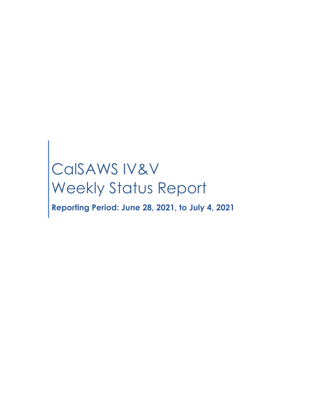# CalSAWS IV&V Weekly Status Report

**Reporting Period: June 28, 2021, to July 4, 2021**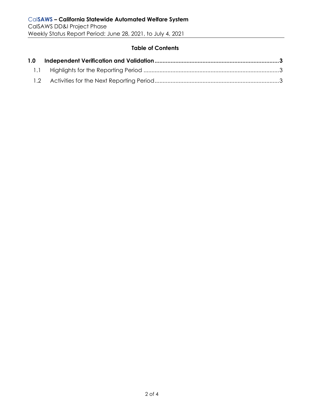#### **Table of Contents**

| 1.0 |  |
|-----|--|
|     |  |
|     |  |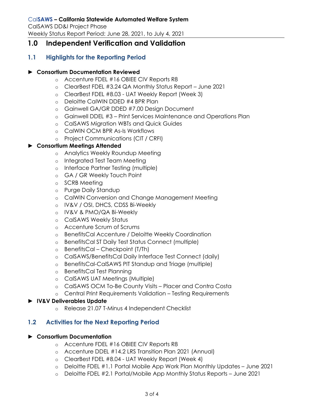# <span id="page-2-0"></span>**1.0 Independent Verification and Validation**

## <span id="page-2-1"></span>**1.1 Highlights for the Reporting Period**

#### ► **Consortium Documentation Reviewed**

- o Accenture FDEL #16 OBIEE CIV Reports R8
- o ClearBest FDEL #3.24 QA Monthly Status Report June 2021
- o ClearBest FDEL #8.03 UAT Weekly Report (Week 3)
- o Deloitte CalWIN DDED #4 BPR Plan
- o Gainwell GA/GR DDED #7.00 Design Document
- o Gainwell DDEL #3 Print Services Maintenance and Operations Plan
- o CalSAWS Migration WBTs and Quick Guides
- o CalWIN OCM BPR As-Is Workflows
- o Project Communications (CIT / CRFI)

#### ► **Consortium Meetings Attended**

- o Analytics Weekly Roundup Meeting
- o Integrated Test Team Meeting
- o Interface Partner Testing (multiple)
- o GA / GR Weekly Touch Point
- o SCRB Meeting
- o Purge Daily Standup
- o CalWIN Conversion and Change Management Meeting
- o IV&V / OSI, DHCS, CDSS Bi-Weekly
- o IV&V & PMO/QA Bi-Weekly
- o CalSAWS Weekly Status
- o Accenture Scrum of Scrums
- o BenefitsCal Accenture / Deloitte Weekly Coordination
- o BenefitsCal ST Daily Test Status Connect (multiple)
- o BenefitsCal Checkpoint (T/Th)
- o CalSAWS/BenefitsCal Daily Interface Test Connect (daily)
- o BenefitsCal-CalSAWS PIT Standup and Triage (multiple)
- o BenefitsCal Test Planning
- o CalSAWS UAT Meetings (Multiple)
- o CalSAWS OCM To-Be County Visits Placer and Contra Costa
- o Central Print Requirements Validation Testing Requirements

#### <span id="page-2-2"></span>► **IV&V Deliverables Update**

o Release 21.07 T-Minus 4 Independent Checklist

### **1.2 Activities for the Next Reporting Period**

#### ► **Consortium Documentation**

- o Accenture FDEL #16 OBIEE CIV Reports R8
- o Accenture DDEL #14.2 LRS Transition Plan 2021 (Annual)
- o ClearBest FDEL #8.04 UAT Weekly Report (Week 4)
- o Deloitte FDEL #1.1 Portal Mobile App Work Plan Monthly Updates June 2021
- o Deloitte FDEL #2.1 Portal/Mobile App Monthly Status Reports June 2021